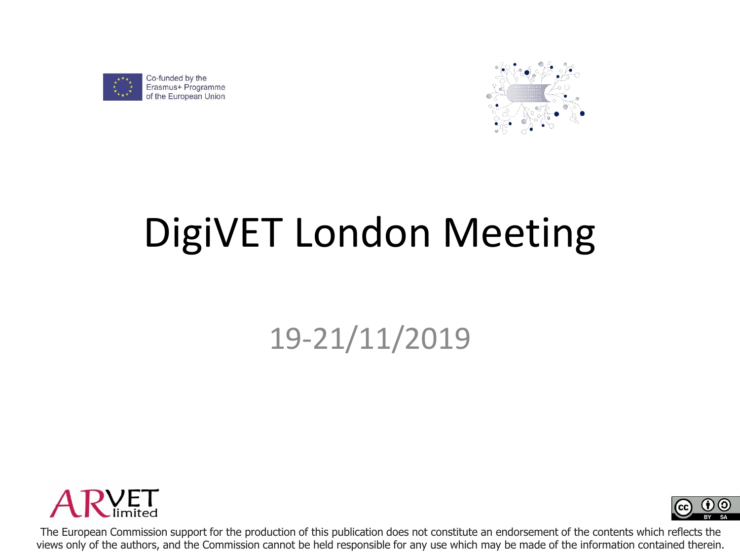

Erasmus+ Programme of the European Union



# DigiVET London Meeting

### 19-21/11/2019





The European Commission support for the production of this publication does not constitute an endorsement of the contents which reflects the views only of the authors, and the Commission cannot be held responsible for any use which may be made of the information contained therein.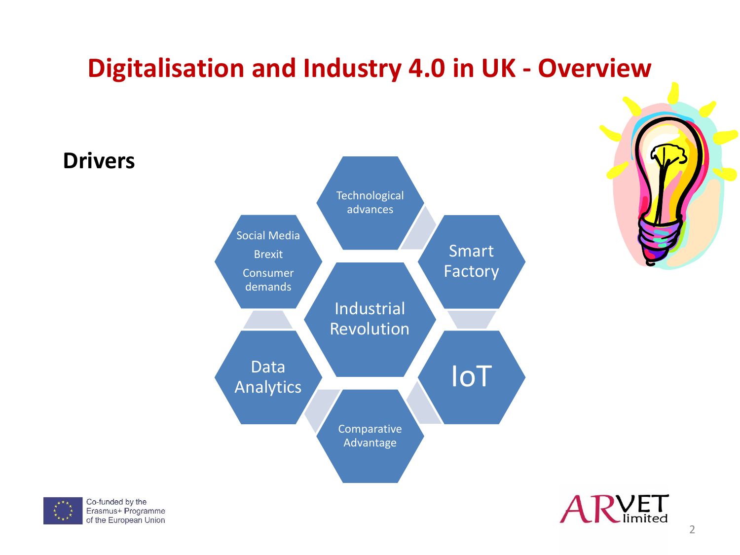### **Digitalisation and Industry 4.0 in UK - Overview**





**Drivers**



2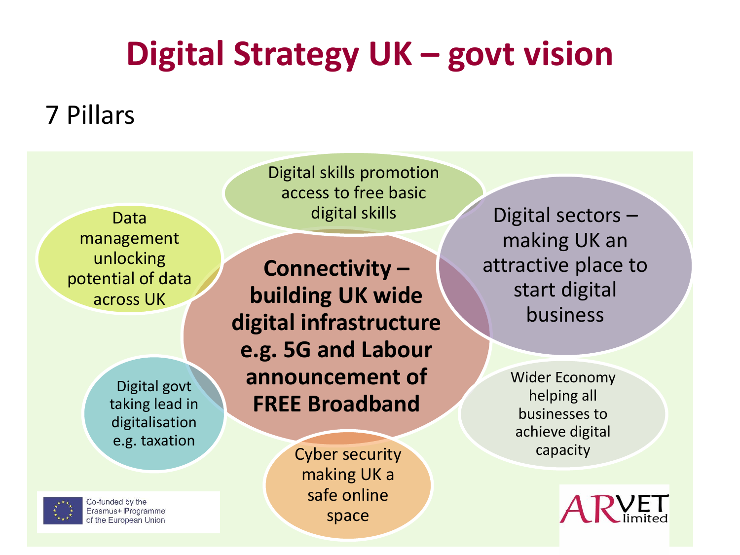## **Digital Strategy UK – govt vision**

### 7 Pillars

Data management unlocking potential of data across UK

> Digital govt taking lead in digitalisation e.g. taxation

Co-funded by the Erasmus+ Programme of the European Union Digital skills promotion access to free basic

**Connectivity – building UK wide digital infrastructure e.g. 5G and Labour announcement of FREE Broadband**

> Cyber security making UK a safe online space

digital skills Digital sectors – making UK an attractive place to start digital business

> Wider Economy helping all businesses to achieve digital capacity

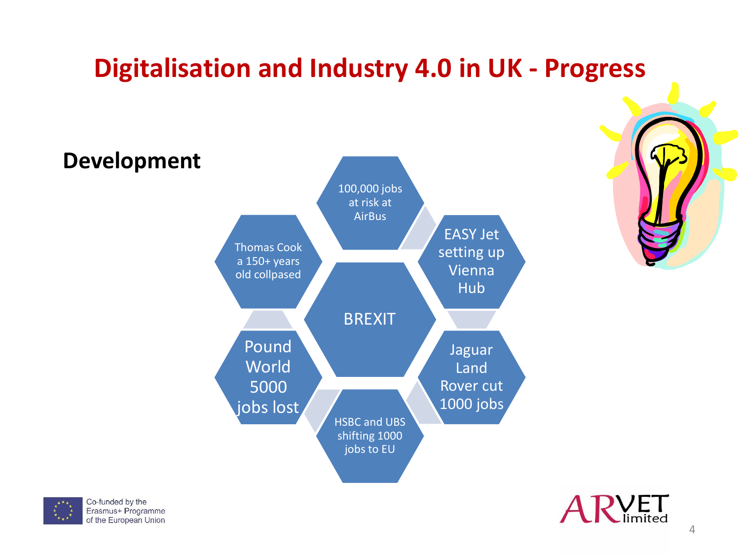### **Digitalisation and Industry 4.0 in UK - Progress**





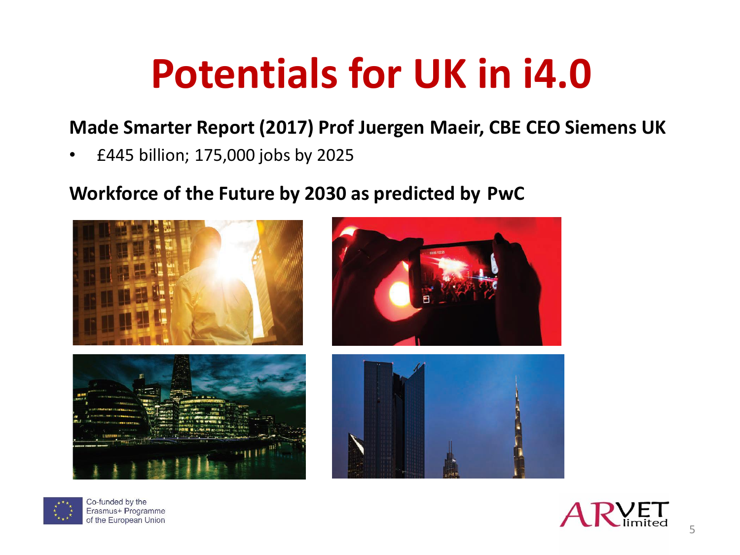# **Potentials for UK in i4.0**

#### **Made Smarter Report (2017) Prof Juergen Maeir, CBE CEO Siemens UK**

• £445 billion; 175,000 jobs by 2025

#### **Workforce of the Future by 2030 as predicted by PwC**





Co-funded by the Erasmus+ Programme of the European Union

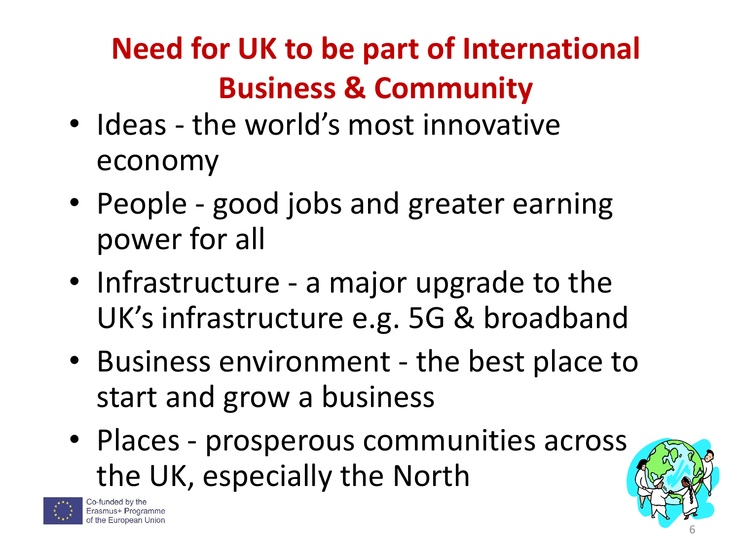## **Need for UK to be part of International Business & Community**

- Ideas the world's most innovative economy
- People good jobs and greater earning power for all
- Infrastructure a major upgrade to the UK's infrastructure e.g. 5G & broadband
- Business environment the best place to start and grow a business
- Places prosperous communities across the UK, especially the North



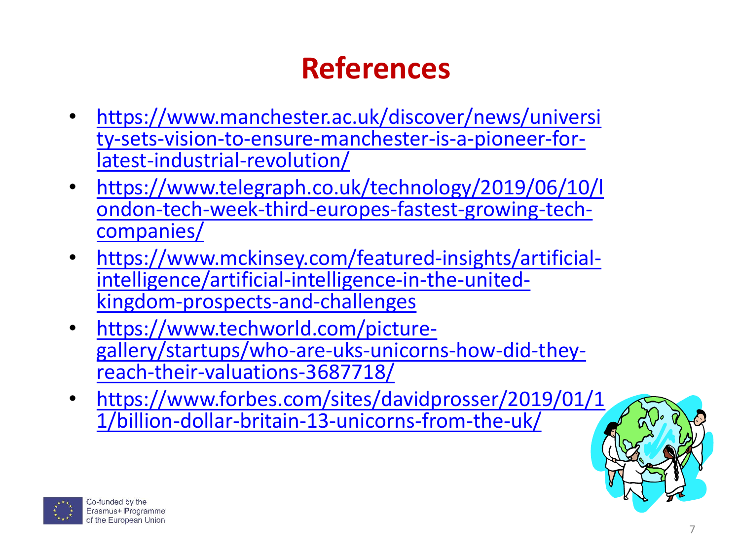## **References**

- https://www.manchester.ac.uk/discover/news/universi [ty-sets-vision-to-ensure-manchester-is-a-pioneer-for](https://www.manchester.ac.uk/discover/news/university-sets-vision-to-ensure-manchester-is-a-pioneer-for-latest-industrial-revolution/)latest-industrial-revolution/
- https://www.telegraph.co.uk/technology/2019/06/10/l [ondon-tech-week-third-europes-fastest-growing-tech](https://www.telegraph.co.uk/technology/2019/06/10/london-tech-week-third-europes-fastest-growing-tech-companies/)companies/
- [https://www.mckinsey.com/featured-insights/artificial](https://www.mckinsey.com/featured-insights/artificial-intelligence/artificial-intelligence-in-the-united-kingdom-prospects-and-challenges)intelligence/artificial-intelligence-in-the-unitedkingdom-prospects-and-challenges
- https://www.techworld.com/picture[gallery/startups/who-are-uks-unicorns-how-did-they](https://www.techworld.com/picture-gallery/startups/who-are-uks-unicorns-how-did-they-reach-their-valuations-3687718/)reach-their-valuations-3687718/
- [https://www.forbes.com/sites/davidprosser/2019/01/1](https://www.forbes.com/sites/davidprosser/2019/01/11/billion-dollar-britain-13-unicorns-from-the-uk/) 1/billion-dollar-britain-13-unicorns-from-the-uk/

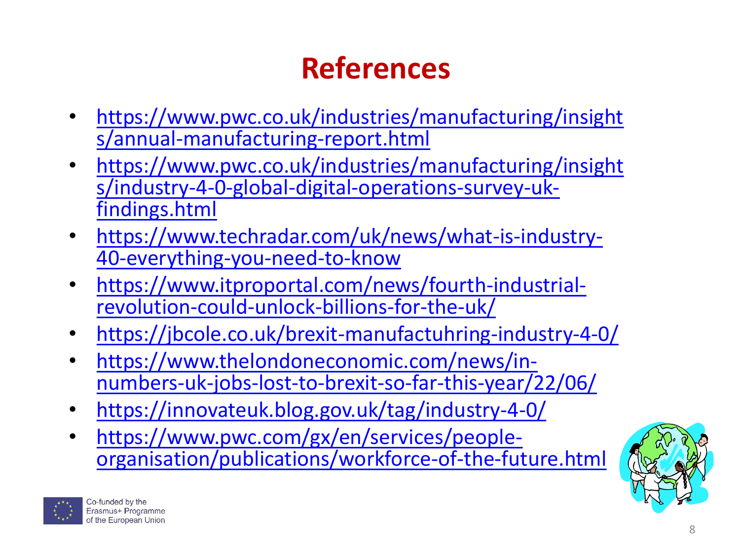## **References**

- [https://www.pwc.co.uk/industries/manufacturing/insight](https://www.pwc.co.uk/industries/manufacturing/insights/annual-manufacturing-report.html) s/annual-manufacturing-report.html
- [https://www.pwc.co.uk/industries/manufacturing/insight](https://www.pwc.co.uk/industries/manufacturing/insights/industry-4-0-global-digital-operations-survey-uk-findings.html) s/industry-4-0-global-digital-operations-survey-ukfindings.html
- [https://www.techradar.com/uk/news/what-is-industry-](https://www.techradar.com/uk/news/what-is-industry-40-everything-you-need-to-know)40-everything-you-need-to-know
- [https://www.itproportal.com/news/fourth-industrial](https://www.itproportal.com/news/fourth-industrial-revolution-could-unlock-billions-for-the-uk/)revolution-could-unlock-billions-for-the-uk/
- [https://jbcole.co.uk/brexit-manufactuhring-industry-4-0/](https://jbcole.co.uk/brexit-manufacturing-industry-4-0/)
- https://www.thelondoneconomic.com/news/in[numbers-uk-jobs-lost-to-brexit-so-far-this-year/22/06/](https://www.thelondoneconomic.com/news/in-numbers-uk-jobs-lost-to-brexit-so-far-this-year/22/06/)
- <https://innovateuk.blog.gov.uk/tag/industry-4-0/>
- https://www.pwc.com/gx/en/services/people[organisation/publications/workforce-of-the-future.html](https://www.pwc.com/gx/en/services/people-organisation/publications/workforce-of-the-future.html)